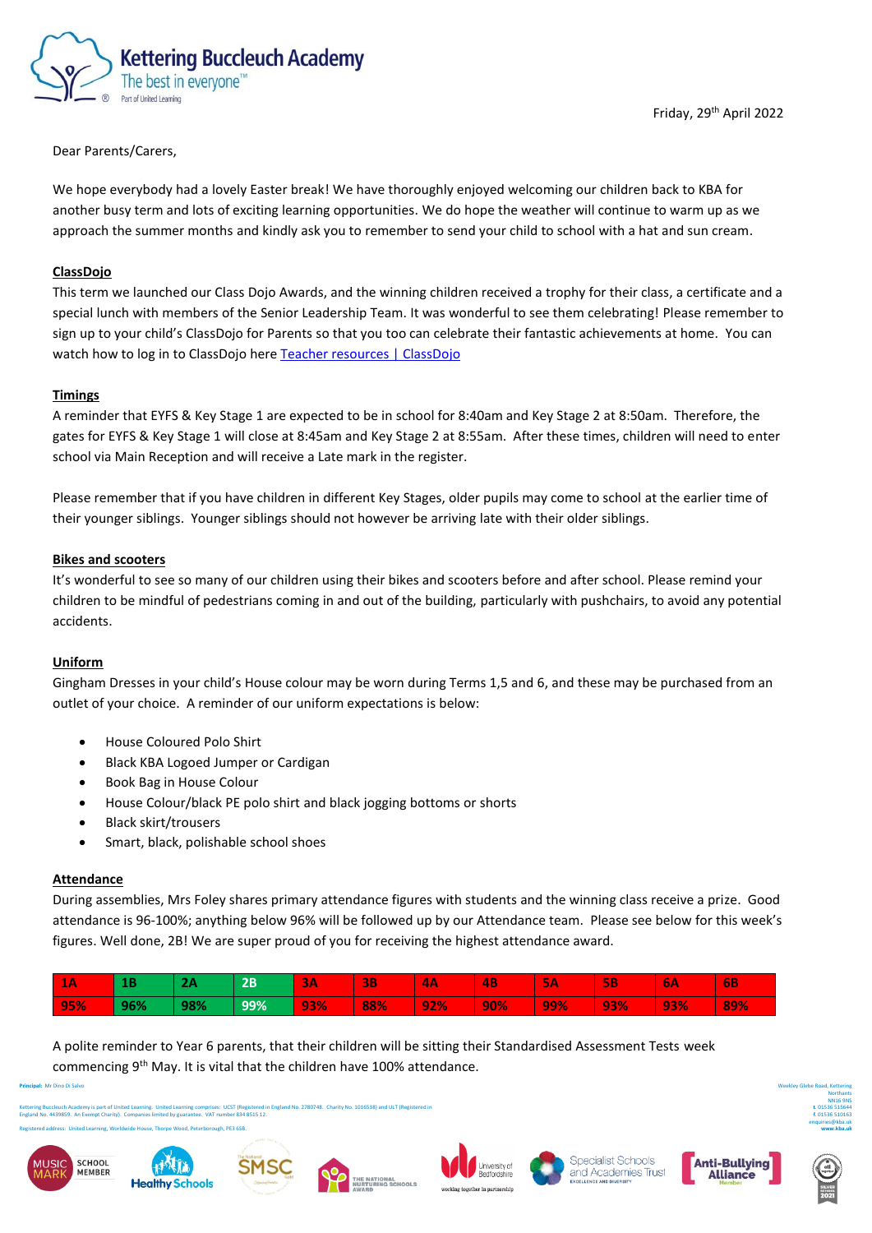

# Dear Parents/Carers,

We hope everybody had a lovely Easter break! We have thoroughly enjoyed welcoming our children back to KBA for another busy term and lots of exciting learning opportunities. We do hope the weather will continue to warm up as we approach the summer months and kindly ask you to remember to send your child to school with a hat and sun cream.

# **ClassDojo**

This term we launched our Class Dojo Awards, and the winning children received a trophy for their class, a certificate and a special lunch with members of the Senior Leadership Team. It was wonderful to see them celebrating! Please remember to sign up to your child's ClassDojo for Parents so that you too can celebrate their fantastic achievements at home. You can watch how to log in to ClassDojo her[e Teacher resources | ClassDojo](https://www.classdojo.com/en-gb/resources/#parents)

# **Timings**

A reminder that EYFS & Key Stage 1 are expected to be in school for 8:40am and Key Stage 2 at 8:50am. Therefore, the gates for EYFS & Key Stage 1 will close at 8:45am and Key Stage 2 at 8:55am. After these times, children will need to enter school via Main Reception and will receive a Late mark in the register.

Please remember that if you have children in different Key Stages, older pupils may come to school at the earlier time of their younger siblings. Younger siblings should not however be arriving late with their older siblings.

### **Bikes and scooters**

It's wonderful to see so many of our children using their bikes and scooters before and after school. Please remind your children to be mindful of pedestrians coming in and out of the building, particularly with pushchairs, to avoid any potential accidents.

### **Uniform**

Gingham Dresses in your child's House colour may be worn during Terms 1,5 and 6, and these may be purchased from an outlet of your choice. A reminder of our uniform expectations is below:

- House Coloured Polo Shirt
- Black KBA Logoed Jumper or Cardigan
- Book Bag in House Colour
- House Colour/black PE polo shirt and black jogging bottoms or shorts
- Black skirt/trousers
- Smart, black, polishable school shoes

### **Attendance**

During assemblies, Mrs Foley shares primary attendance figures with students and the winning class receive a prize. Good attendance is 96-100%; anything below 96% will be followed up by our Attendance team. Please see below for this week's figures. Well done, 2B! We are super proud of you for receiving the highest attendance award.

| <b>TA</b> |     |     | 2B  | <b>BA</b> | <b>3B</b> | <b>ΙΑΑ</b> | 4B  | $\mathbf{r}$<br>ъ.<br>Æ | <b>5B</b>  | 6A  | <b>6B</b> |
|-----------|-----|-----|-----|-----------|-----------|------------|-----|-------------------------|------------|-----|-----------|
| 95%       | 96% | 98% | 99% | 93%       | 88%       | 92%        | 90% | 99%                     | <b>93%</b> | 93% | 89%       |

A polite reminder to Year 6 parents, that their children will be sitting their Standardised Assessment Tests week commencing 9<sup>th</sup> May. It is vital that the children have 100% attendance.

**Principal:** Mr Dino Di Salvo

Kettering Buccleuch Academy is part of United Learning. United Learning comprises: UCST (Registered in England No. 2780748. Charity No. 1016538) and ULT (Registered in England No. 4439859. An Exempt Charity). Companies limited by guarantee. VAT number 834 8515 12.





Registered address: United Learning, Worldwide House, Thorpe Wood, Peterborough, PE3 6SB.













Weekley Glebe Road, Kettering **Northants** NN16 9NS **t**. 01536 515644 **f**. 01536 510163 enquiries@kba.uk **www.kba.uk**